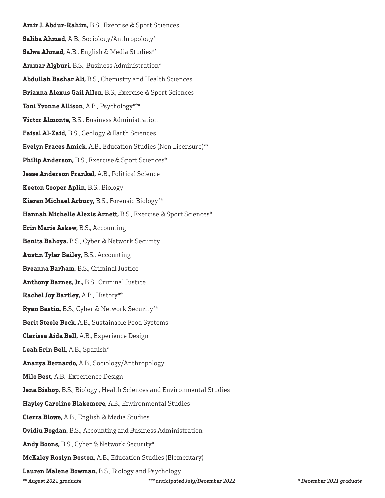**Amir J. Abdur-Rahim,** B.S., Exercise & Sport Sciences **Saliha Ahmad,** A.B., Sociology/Anthropology\* **Salwa Ahmad,** A.B., English & Media Studies\*\* **Ammar Algburi,** B.S., Business Administration\* **Abdullah Bashar Ali,** B.S., Chemistry and Health Sciences **Brianna Alexus Gail Allen,** B.S., Exercise & Sport Sciences **Toni Yvonne Allison**, A.B., Psychology\*\*\* **Victor Almonte,** B.S., Business Administration **Faisal Al-Zaid,** B.S., Geology & Earth Sciences **Evelyn Fraces Amick,** A.B., Education Studies (Non Licensure)\*\* **Philip Anderson,** B.S., Exercise & Sport Sciences\* **Jesse Anderson Frankel,** A.B., Political Science **Keeton Cooper Aplin,** B.S., Biology **Kieran Michael Arbury,** B.S., Forensic Biology\*\* **Hannah Michelle Alexis Arnett,** B.S., Exercise & Sport Sciences\* **Erin Marie Askew,** B.S., Accounting **Benita Bahoya,** B.S., Cyber & Network Security **Austin Tyler Bailey,** B.S., Accounting **Breanna Barham,** B.S., Criminal Justice **Anthony Barnes, Jr.,** B.S., Criminal Justice **Rachel Joy Bartley,** A.B., History\*\* **Ryan Bastin,** B.S., Cyber & Network Security\*\* **Berit Steele Beck,** A.B., Sustainable Food Systems **Clarissa Aida Bell,** A.B., Experience Design **Leah Erin Bell,** A.B., Spanish\* **Ananya Bernardo,** A.B., Sociology/Anthropology **Milo Best,** A.B., Experience Design **Jena Bishop,** B.S., Biology , Health Sciences and Environmental Studies **Hayley Caroline Blakemore,** A.B., Environmental Studies **Cierra Blowe,** A.B., English & Media Studies **Ovidiu Bogdan,** B.S., Accounting and Business Administration **Andy Boons,** B.S., Cyber & Network Security\* **McKaley Roslyn Boston,** A.B., Education Studies (Elementary) **Lauren Malene Bowman,** B.S., Biology and Psychology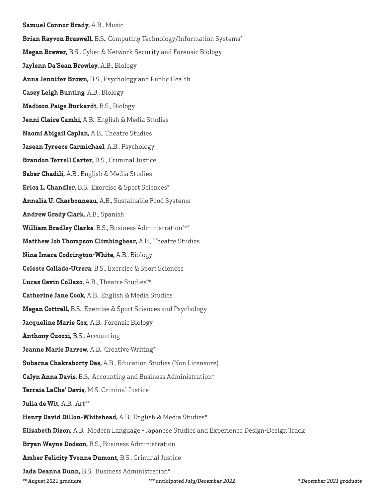## **Samuel Connor Brady,** A.B., Music

**Brian Rayvon Braswell,** B.S., Computing Technology/Information Systems\*

**Megan Brewer,** B.S., Cyber & Network Security and Forensic Biology

**Jaylenn Da'Sean Browley,** A.B., Biology

**Anna Jennifer Brown,** B.S., Psychology and Public Health

**Casey Leigh Bunting,** A.B., Biology

**Madison Paige Burkardt,** B.S., Biology

**Jenni Claire Camhi,** A.B., English & Media Studies

**Naomi Abigail Caplan,** A.B., Theatre Studies

**Jasean Tyreece Carmichael,** A.B., Psychology

**Brandon Terrell Carter,** B.S., Criminal Justice

**Saber Chadili,** A.B., English & Media Studies

**Erica L. Chandler,** B.S., Exercise & Sport Sciences\*

**Annalia U. Charbonneau,** A.B., Sustainable Food Systems

**Andrew Grady Clark,** A.B., Spanish

**William Bradley Clarke**, B.S., Business Administration\*\*\*

**Matthew Job Thompson Climbingbear,** A.B., Theatre Studies

**Nina Imara Codrington-White,** A.B., Biology

**Celeste Collado-Utrera,** B.S., Exercise & Sport Sciences

**Lucas Gavin Collazo,** A.B., Theatre Studies\*\*

**Catherine Jane Cook,** A.B., English & Media Studies

**Megan Cottrell,** B.S., Exercise & Sport Sciences and Psychology

**Jacqueline Marie Cox,** A.B., Forensic Biology

**Anthony Cuozzi,** B.S., Accounting

**Jeanne Marie Darrow,** A.B., Creative Writing\*

**Subarna Chakraborty Das,** A.B., Education Studies (Non Licensure)

**Calyn Anna Davis,** B.S., Accounting and Business Administration\*

**Terraia LaChe' Davis,** M.S. Criminal Justice

**Julia de Wit,** A.B., Art\*\*

**Henry David Dillon-Whitehead,** A.B., English & Media Studies\*

**Elizabeth Dizon,** A.B., Modern Language - Japanese Studies and Experience Design-Design Track

**Bryan Wayne Dodson,** B.S., Business Administration

**Amber Felicity Yvonne Dumont,** B.S., Criminal Justice

**Jada Deanna Dunn,** B.S., Business Administration\*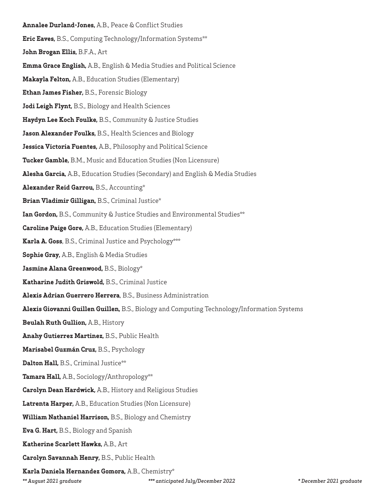## **Annalee Durland-Jones,** A.B., Peace & Conflict Studies

- **Eric Eaves,** B.S., Computing Technology/Information Systems\*\*
- **John Brogan Ellis,** B.F.A., Art
- **Emma Grace English,** A.B., English & Media Studies and Political Science
- **Makayla Felton,** A.B., Education Studies (Elementary)
- **Ethan James Fisher,** B.S., Forensic Biology
- **Jodi Leigh Flynt,** B.S., Biology and Health Sciences
- **Haydyn Lee Koch Foulke,** B.S., Community & Justice Studies
- **Jason Alexander Foulks,** B.S., Health Sciences and Biology
- **Jessica Victoria Fuentes,** A.B., Philosophy and Political Science
- **Tucker Gamble,** B.M., Music and Education Studies (Non Licensure)
- **Alesha Garcia,** A.B., Education Studies (Secondary) and English & Media Studies
- **Alexander Reid Garrou,** B.S., Accounting\*
- **Brian Vladimir Gilligan,** B.S., Criminal Justice\*
- **Ian Gordon,** B.S., Community & Justice Studies and Environmental Studies\*\*
- **Caroline Paige Gore,** A.B., Education Studies (Elementary)
- **Karla A. Goss**, B.S., Criminal Justice and Psychology\*\*\*
- **Sophie Gray,** A.B., English & Media Studies
- **Jasmine Alana Greenwood,** B.S., Biology\*
- **Katharine Judith Griswold,** B.S., Criminal Justice
- **Alexis Adrian Guerrero Herrera**, B.S., Business Administration
- **Alexis Giovanni Guillen Guillen,** B.S., Biology and Computing Technology/Information Systems
- **Beulah Ruth Gullion,** A.B., History
- **Anahy Gutierrez Martinez,** B.S., Public Health
- **Marisabel Guzmán Cruz,** B.S., Psychology
- **Dalton Hall,** B.S., Criminal Justice\*\*
- **Tamara Hall,** A.B., Sociology/Anthropology\*\*
- **Carolyn Dean Hardwick,** A.B., History and Religious Studies
- **Latrenta Harper,** A.B., Education Studies (Non Licensure)
- **William Nathaniel Harrison,** B.S., Biology and Chemistry
- **Eva G. Hart,** B.S., Biology and Spanish
- **Katherine Scarlett Hawks,** A.B., Art
- **Carolyn Savannah Henry,** B.S., Public Health
- **Karla Daniela Hernandez Gomora,** A.B., Chemistry\*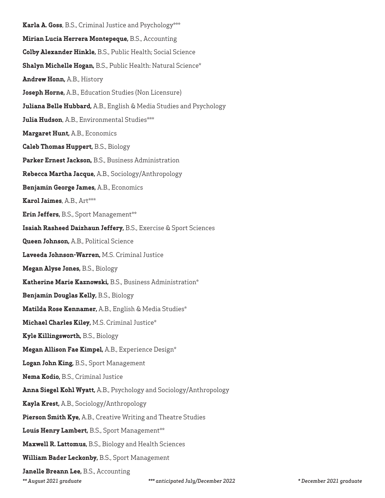**Karla A. Goss**, B.S., Criminal Justice and Psychology\*\*\* **Mirian Lucia Herrera Montepeque,** B.S., Accounting **Colby Alexander Hinkle,** B.S., Public Health; Social Science **Shalyn Michelle Hogan,** B.S., Public Health: Natural Science\* **Andrew Honn,** A.B., History **Joseph Horne,** A.B., Education Studies (Non Licensure) **Juliana Belle Hubbard,** A.B., English & Media Studies and Psychology **Julia Hudson**, A.B., Environmental Studies\*\*\* **Margaret Hunt,** A.B., Economics **Caleb Thomas Huppert,** B.S., Biology **Parker Ernest Jackson,** B.S., Business Administration **Rebecca Martha Jacque,** A.B., Sociology/Anthropology **Benjamin George James,** A.B., Economics **Karol Jaimes**, A.B., Art\*\*\* **Erin Jeffers,** B.S., Sport Management\*\* **Isaiah Rasheed Daizhaun Jeffery,** B.S., Exercise & Sport Sciences **Queen Johnson,** A.B., Political Science **Laveeda Johnson-Warren,** M.S. Criminal Justice **Megan Alyse Jones,** B.S., Biology **Katherine Marie Kaznowski,** B.S., Business Administration\* **Benjamin Douglas Kelly,** B.S., Biology **Matilda Rose Kennamer,** A.B., English & Media Studies\* **Michael Charles Kiley,** M.S. Criminal Justice\* **Kyle Killingsworth,** B.S., Biology **Megan Allison Fae Kimpel,** A.B., Experience Design\* **Logan John King,** B.S., Sport Management **Nema Kodio,** B.S., Criminal Justice **Anna Siegel Kohl Wyatt,** A.B., Psychology and Sociology/Anthropology **Kayla Krest,** A.B., Sociology/Anthropology **Pierson Smith Kye,** A.B., Creative Writing and Theatre Studies **Louis Henry Lambert,** B.S., Sport Management\*\* **Maxwell R. Lattomus,** B.S., Biology and Health Sciences **William Bader Leckonby,** B.S., Sport Management **Janelle Breann Lee,** B.S., Accounting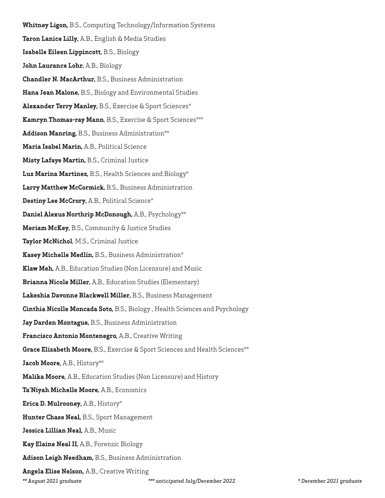**Whitney Ligon,** B.S., Computing Technology/Information Systems **Taron Lanice Lilly,** A.B., English & Media Studies **Isabelle Eileen Lippincott,** B.S., Biology **John Laurance Lohr,** A.B., Biology **Chandler N. MacArthur,** B.S., Business Administration **Hana Jean Malone,** B.S., Biology and Environmental Studies **Alexander Terry Manley,** B.S., Exercise & Sport Sciences\* **Kamryn Thomas-ray Mann**, B.S., Exercise & Sport Sciences\*\*\* **Addison Manring,** B.S., Business Administration\*\* **Maria Isabel Marin,** A.B., Political Science **Misty Lafaye Martin,** B.S., Criminal Justice **Luz Marina Martinez,** B.S., Health Sciences and Biology\* **Larry Matthew McCormick,** B.S., Business Administration **Destiny Lee McCrory,** A.B., Political Science\* **Daniel Alexus Northrip McDonough,** A.B., Psychology\*\* **Meriam McKey,** B.S., Community & Justice Studies **Taylor McNichol**, M.S., Criminal Justice **Kasey Michelle Medlin,** B.S., Business Administration\* **Klaw Meh,** A.B., Education Studies (Non Licensure) and Music **Brianna Nicole Miller,** A.B., Education Studies (Elementary) **Lakeshia Davonne Blackwell Miller,** B.S., Business Management **Cinthia Nicolle Moncada Soto,** B.S., Biology , Health Sciences and Psychology **Jay Darden Montague,** B.S., Business Administration **Francisco Antonio Montenegro,** A.B., Creative Writing **Grace Elizabeth Moore,** B.S., Exercise & Sport Sciences and Health Sciences\*\* **Jacob Moore,** A.B., History\*\* **Malika Moore,** A.B., Education Studies (Non Licensure) and History **Ta'Niyah Michelle Moore,** A.B., Economics **Erica D. Mulrooney,** A.B., History\* **Hunter Chase Neal,** B.S., Sport Management **Jessica Lillian Neal,** A.B., Music **Kay Elaine Neal II,** A.B., Forensic Biology **Adison Leigh Needham,** B.S., Business Administration **Angela Elise Nelson,** A.B., Creative Writing

*\*\* August 2021 graduate \*\*\* anticipated July/December 2022 \* December 2021 graduate*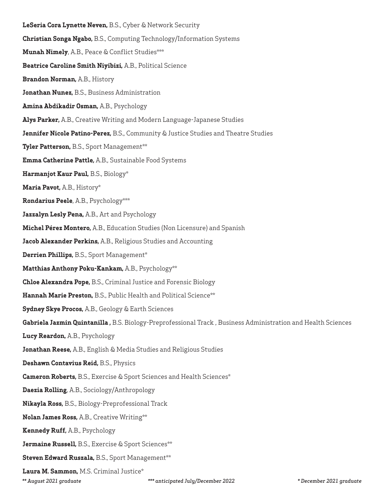**LeSeria Cora Lynette Neven,** B.S., Cyber & Network Security **Christian Songa Ngabo,** B.S., Computing Technology/Information Systems **Munah Nimely**, A.B., Peace & Conflict Studies\*\*\* **Beatrice Caroline Smith Niyibizi,** A.B., Political Science **Brandon Norman,** A.B., History **Jonathan Nunez,** B.S., Business Administration **Amina Abdikadir Osman,** A.B., Psychology **Alys Parker,** A.B., Creative Writing and Modern Language-Japanese Studies **Jennifer Nicole Patino-Perez,** B.S., Community & Justice Studies and Theatre Studies **Tyler Patterson, B.S., Sport Management\*\* Emma Catherine Pattle,** A.B., Sustainable Food Systems **Harmanjot Kaur Paul,** B.S., Biology\* **Maria Pavot,** A.B., History\* **Rondarius Peele**, A.B., Psychology\*\*\* **Jazzalyn Lesly Pena,** A.B., Art and Psychology **Michel Pérez Montero,** A.B., Education Studies (Non Licensure) and Spanish **Jacob Alexander Perkins,** A.B., Religious Studies and Accounting **Derrien Phillips,** B.S., Sport Management\* **Matthias Anthony Poku-Kankam,** A.B., Psychology\*\* **Chloe Alexandra Pope,** B.S., Criminal Justice and Forensic Biology **Hannah Marie Preston,** B.S., Public Health and Political Science\*\* **Sydney Skye Procos,** A.B., Geology & Earth Sciences **Gabriela Jazmin Quintanilla ,** B.S. Biology-Preprofessional Track , Business Administration and Health Sciences **Lucy Reardon,** A.B., Psychology **Jonathan Reese,** A.B., English & Media Studies and Religious Studies **Deshawn Contavius Reid,** B.S., Physics **Cameron Roberts,** B.S., Exercise & Sport Sciences and Health Sciences\* **Daezia Rolling**, A.B., Sociology/Anthropology **Nikayla Ross,** B.S., Biology-Preprofessional Track **Nolan James Ross,** A.B., Creative Writing\*\* **Kennedy Ruff,** A.B., Psychology **Jermaine Russell,** B.S., Exercise & Sport Sciences\*\* **Steven Edward Ruszala, B.S., Sport Management\*\* Laura M. Sammon,** M.S. Criminal Justice\*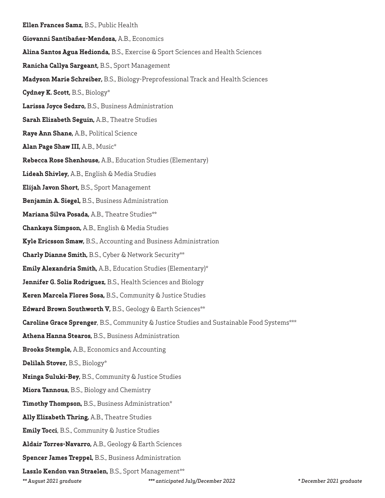- **Ellen Frances Samz,** B.S., Public Health **Giovanni Santibañez-Mendoza,** A.B., Economics **Alina Santos Agua Hedionda,** B.S., Exercise & Sport Sciences and Health Sciences **Ranicha Callya Sargeant,** B.S., Sport Management **Madyson Marie Schreiber,** B.S., Biology-Preprofessional Track and Health Sciences **Cydney K. Scott,** B.S., Biology\* **Larissa Joyce Sedzro,** B.S., Business Administration **Sarah Elizabeth Seguin,** A.B., Theatre Studies **Raye Ann Shane,** A.B., Political Science **Alan Page Shaw III,** A.B., Music\* **Rebecca Rose Shenhouse,** A.B., Education Studies (Elementary) **Lideah Shivley,** A.B., English & Media Studies **Elijah Javon Short,** B.S., Sport Management **Benjamin A. Siegel,** B.S., Business Administration **Mariana Silva Posada,** A.B., Theatre Studies\*\* **Chankaya Simpson,** A.B., English & Media Studies **Kyle Ericsson Smaw,** B.S., Accounting and Business Administration **Charly Dianne Smith,** B.S., Cyber & Network Security\*\* **Emily Alexandria Smith,** A.B., Education Studies (Elementary)\* **Jennifer G. Solis Rodriguez,** B.S., Health Sciences and Biology **Keren Marcela Flores Sosa,** B.S., Community & Justice Studies **Edward Brown Southworth V,** B.S., Geology & Earth Sciences\*\* **Caroline Grace Sprenger**, B.S., Community & Justice Studies and Sustainable Food Systems\*\*\* **Athena Hanna Stearos,** B.S., Business Administration **Brooks Stemple,** A.B., Economics and Accounting **Delilah Stover,** B.S., Biology\* **Nzinga Suluki-Bey,** B.S., Community & Justice Studies **Miora Tannous,** B.S., Biology and Chemistry **Timothy Thompson,** B.S., Business Administration\* **Ally Elizabeth Thring,** A.B., Theatre Studies **Emily Tocci**, B.S., Community & Justice Studies **Aldair Torres-Navarro,** A.B., Geology & Earth Sciences **Spencer James Treppel,** B.S., Business Administration **Laszlo Kendon van Straelen,** B.S., Sport Management\*\* *\*\* August 2021 graduate \*\*\* anticipated July/December 2022 \* December 2021 graduate*
-